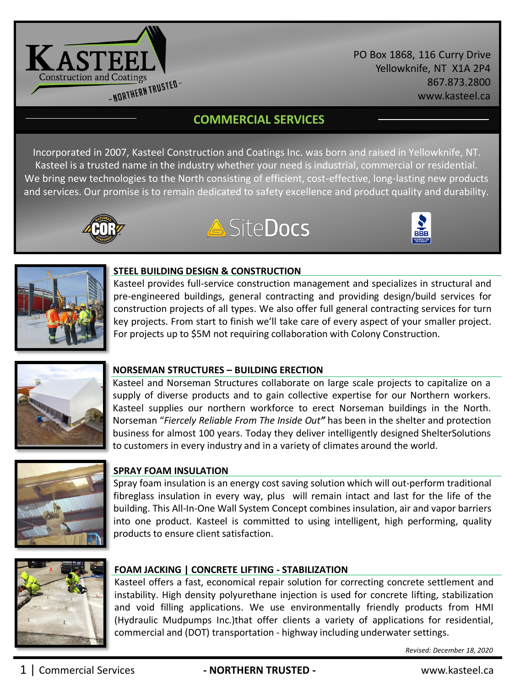

PO Box 1868, 116 Curry Drive Yellowknife, NT X1A 2P4 867.873.2800 www.kasteel.ca

# **COMMERCIAL SERVICES**

Incorporated in 2007, Kasteel Construction and Coatings Inc. was born and raised in Yellowknife, NT. Kasteel is a trusted name in the industry whether your need is industrial, commercial or residential. We bring new technologies to the North consisting of efficient, cost-effective, long-lasting new products and services. Our promise is to remain dedicated to safety excellence and product quality and durability.









## **STEEL BUILDING DESIGN & CONSTRUCTION**

Kasteel provides full-service construction management and specializes in structural and pre-engineered buildings, general contracting and providing design/build services for construction projects of all types. We also offer full general contracting services for turn key projects. From start to finish we'll take care of every aspect of your smaller project. For projects up to \$5M not requiring collaboration with Colony Construction.



# **NORSEMAN STRUCTURES – BUILDING ERECTION**

Kasteel and Norseman Structures collaborate on large scale projects to capitalize on a supply of diverse products and to gain collective expertise for our Northern workers. Kasteel supplies our northern workforce to erect Norseman buildings in the North. Norseman "*Fiercely Reliable From The Inside Out"* has been in the shelter and protection business for almost 100 years. Today they deliver intelligently designed ShelterSolutions to customers in every industry and in a variety of climates around the world.



# **SPRAY FOAM INSULATION**

Spray foam insulation is an energy cost saving solution which will out-perform traditional fibreglass insulation in every way, plus will remain intact and last for the life of the building. This All-In-One Wall System Concept combines insulation, air and vapor barriers into one product. Kasteel is committed to using intelligent, high performing, quality products to ensure client satisfaction.



# **FOAM JACKING | CONCRETE LIFTING - STABILIZATION**

Kasteel offers a fast, economical repair solution for correcting concrete settlement and instability. High density polyurethane injection is used for concrete lifting, stabilization and void filling applications. We use environmentally friendly products from HMI (Hydraulic Mudpumps Inc.)that offer clients a variety of applications for residential, commercial and (DOT) transportation - highway including underwater settings.

*Revised: December 18, 2020*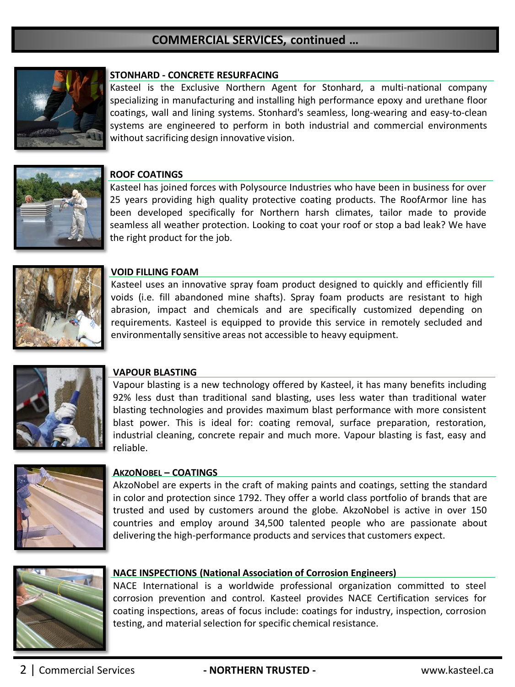# **COMMERCIAL SERVICES, continued …**



#### **STONHARD - CONCRETE RESURFACING**

Kasteel is the Exclusive Northern Agent for Stonhard, a multi-national company specializing in manufacturing and installing high performance epoxy and urethane floor coatings, wall and lining systems. Stonhard's seamless, long-wearing and easy-to-clean systems are engineered to perform in both industrial and commercial environments without sacrificing design innovative vision.



#### **ROOF COATINGS**

Kasteel has joined forces with Polysource Industries who have been in business for over 25 years providing high quality protective coating products. The RoofArmor line has been developed specifically for Northern harsh climates, tailor made to provide seamless all weather protection. Looking to coat your roof or stop a bad leak? We have the right product for the job.



#### **VOID FILLING FOAM**

Kasteel uses an innovative spray foam product designed to quickly and efficiently fill voids (i.e. fill abandoned mine shafts). Spray foam products are resistant to high abrasion, impact and chemicals and are specifically customized depending on requirements. Kasteel is equipped to provide this service in remotely secluded and environmentally sensitive areas not accessible to heavy equipment.



#### **VAPOUR BLASTING**

Vapour blasting is a new technology offered by Kasteel, it has many benefits including 92% less dust than traditional sand blasting, uses less water than traditional water blasting technologies and provides maximum blast performance with more consistent blast power. This is ideal for: coating removal, surface preparation, restoration, industrial cleaning, concrete repair and much more. Vapour blasting is fast, easy and reliable.



#### **AKZONOBEL – COATINGS**

AkzoNobel are experts in the craft of making paints and coatings, setting the standard in color and protection since 1792. They offer a world class portfolio of brands that are trusted and used by customers around the globe. AkzoNobel is active in over 150 countries and employ around 34,500 talented people who are passionate about delivering the high-performance products and services that customers expect.



#### **NACE INSPECTIONS (National Association of Corrosion Engineers)**

NACE International is a worldwide professional organization committed to steel corrosion prevention and control. Kasteel provides NACE Certification services for coating inspections, areas of focus include: coatings for industry, inspection, corrosion testing, and material selection for specific chemical resistance.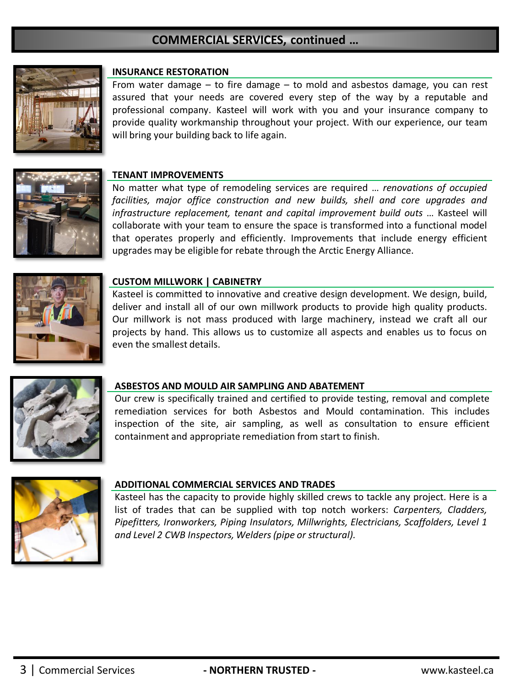# **COMMERCIAL SERVICES, continued …**



### **INSURANCE RESTORATION**

From water damage – to fire damage – to mold and asbestos damage, you can rest assured that your needs are covered every step of the way by a reputable and professional company. Kasteel will work with you and your insurance company to provide quality workmanship throughout your project. With our experience, our team will bring your building back to life again.



## **TENANT IMPROVEMENTS**

No matter what type of remodeling services are required … *renovations of occupied facilities, major office construction and new builds, shell and core upgrades and infrastructure replacement, tenant and capital improvement build outs* … Kasteel will collaborate with your team to ensure the space is transformed into a functional model that operates properly and efficiently. Improvements that include energy efficient upgrades may be eligible for rebate through the Arctic Energy Alliance.



#### **CUSTOM MILLWORK | CABINETRY**

Kasteel is committed to innovative and creative design development. We design, build, deliver and install all of our own millwork products to provide high quality products. Our millwork is not mass produced with large machinery, instead we craft all our projects by hand. This allows us to customize all aspects and enables us to focus on even the smallest details.



#### **ASBESTOS AND MOULD AIR SAMPLING AND ABATEMENT**

Our crew is specifically trained and certified to provide testing, removal and complete remediation services for both Asbestos and Mould contamination. This includes inspection of the site, air sampling, as well as consultation to ensure efficient containment and appropriate remediation from start to finish.



#### **ADDITIONAL COMMERCIAL SERVICES AND TRADES**

Kasteel has the capacity to provide highly skilled crews to tackle any project. Here is a list of trades that can be supplied with top notch workers: *Carpenters, Cladders, Pipefitters, Ironworkers, Piping Insulators, Millwrights, Electricians, Scaffolders, Level 1 and Level 2 CWB Inspectors, Welders(pipe or structural).*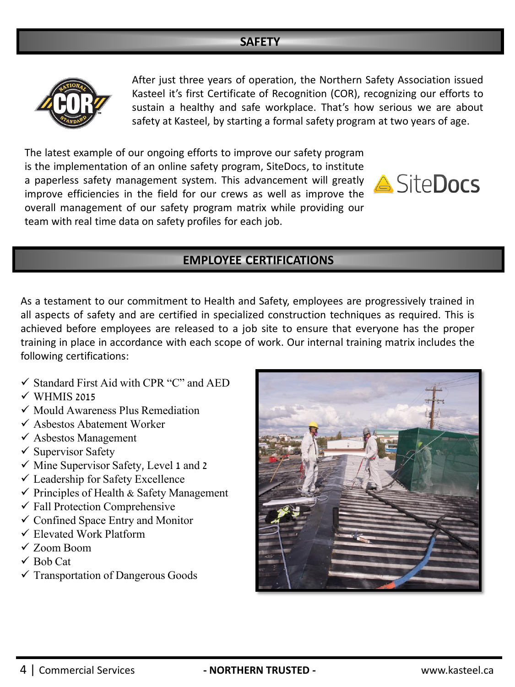# **SAFETY**



After just three years of operation, the Northern Safety Association issued Kasteel it's first Certificate of Recognition (COR), recognizing our efforts to sustain a healthy and safe workplace. That's how serious we are about safety at Kasteel, by starting a formal safety program at two years of age.

The latest example of our ongoing efforts to improve our safety program is the implementation of an online safety program, SiteDocs, to institute a paperless safety management system. This advancement will greatly improve efficiencies in the field for our crews as well as improve the overall management of our safety program matrix while providing our team with real time data on safety profiles for each job.



# **EMPLOYEE CERTIFICATIONS**

As a testament to our commitment to Health and Safety, employees are progressively trained in all aspects of safety and are certified in specialized construction techniques as required. This is achieved before employees are released to a job site to ensure that everyone has the proper training in place in accordance with each scope of work. Our internal training matrix includes the following certifications:

- $\checkmark$  Standard First Aid with CPR "C" and AED
- $\checkmark$  WHMIS 2015
- $\checkmark$  Mould Awareness Plus Remediation
- ✓ Asbestos Abatement Worker
- ✓ Asbestos Management
- $\checkmark$  Supervisor Safety
- $\checkmark$  Mine Supervisor Safety, Level 1 and 2
- ✓ Leadership for Safety Excellence
- $\checkmark$  Principles of Health & Safety Management
- $\checkmark$  Fall Protection Comprehensive
- $\checkmark$  Confined Space Entry and Monitor
- $\checkmark$  Elevated Work Platform
- ✓ Zoom Boom
- $\checkmark$  Bob Cat
- $\checkmark$  Transportation of Dangerous Goods

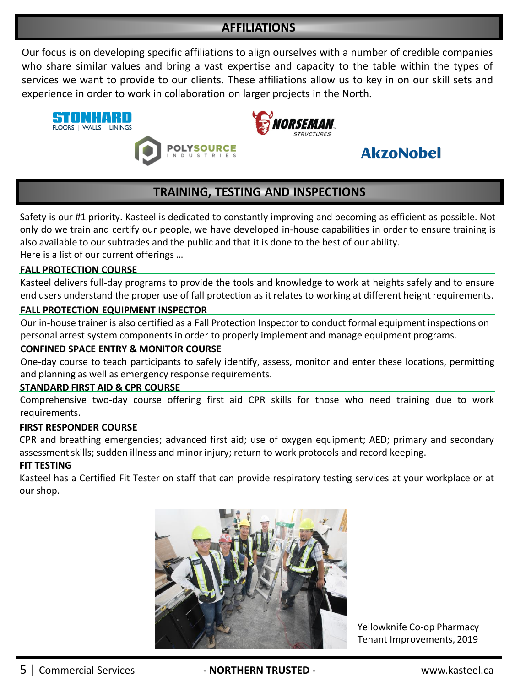# **AFFILIATIONS**

Our focus is on developing specific affiliations to align ourselves with a number of credible companies who share similar values and bring a vast expertise and capacity to the table within the types of services we want to provide to our clients. These affiliations allow us to key in on our skill sets and experience in order to work in collaboration on larger projects in the North.





# **AkzoNobel**

# **TRAINING, TESTING AND INSPECTIONS**

Safety is our #1 priority. Kasteel is dedicated to constantly improving and becoming as efficient as possible. Not only do we train and certify our people, we have developed in-house capabilities in order to ensure training is also available to our subtrades and the public and that it is done to the best of our ability.

Here is a list of our current offerings …

## **FALL PROTECTION COURSE**

Kasteel delivers full-day programs to provide the tools and knowledge to work at heights safely and to ensure end users understand the proper use of fall protection as it relates to working at different height requirements.

## **FALL PROTECTION EQUIPMENT INSPECTOR**

Our in-house trainer is also certified as a Fall Protection Inspector to conduct formal equipment inspections on personal arrest system components in order to properly implement and manage equipment programs.

## **CONFINED SPACE ENTRY & MONITOR COURSE**

One-day course to teach participants to safely identify, assess, monitor and enter these locations, permitting and planning as well as emergency response requirements.

## **STANDARD FIRST AID & CPR COURSE**

Comprehensive two-day course offering first aid CPR skills for those who need training due to work requirements.

## **FIRST RESPONDER COURSE**

CPR and breathing emergencies; advanced first aid; use of oxygen equipment; AED; primary and secondary assessment skills; sudden illness and minor injury; return to work protocols and record keeping.

## **FIT TESTING**

Kasteel has a Certified Fit Tester on staff that can provide respiratory testing services at your workplace or at our shop.



Yellowknife Co-op Pharmacy Tenant Improvements, 2019